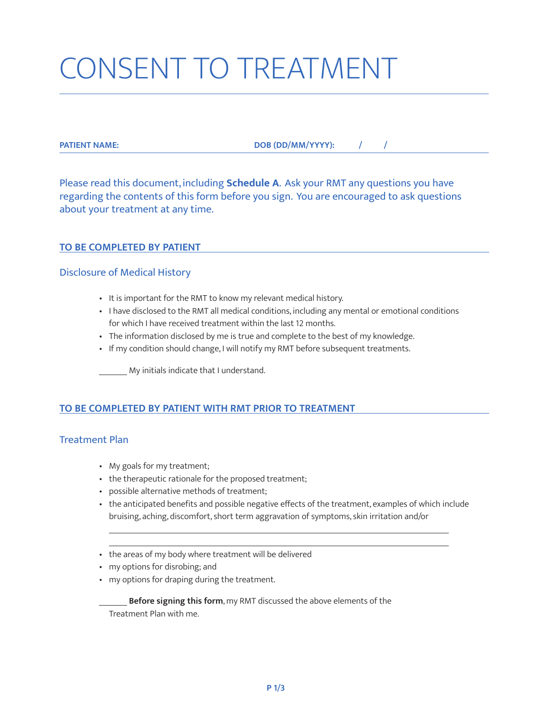# CONSENT TO TREATMENT

**PATIENT NAME: DOB (DD/MM/YYYY): / /** 

Please read this document, including **Schedule A**. Ask your RMT any questions you have regarding the contents of this form before you sign. You are encouraged to ask questions about your treatment at any time.

### **TO BE COMPLETED BY PATIENT**

### Disclosure of Medical History

- It is important for the RMT to know my relevant medical history.
- I have disclosed to the RMT all medical conditions, including any mental or emotional conditions for which I have received treatment within the last 12 months.
- The information disclosed by me is true and complete to the best of my knowledge.
- If my condition should change, I will notify my RMT before subsequent treatments.

**My initials indicate that I understand.** 

# **TO BE COMPLETED BY PATIENT WITH RMT PRIOR TO TREATMENT**

# Treatment Plan

- My goals for my treatment;
- the therapeutic rationale for the proposed treatment;
- possible alternative methods of treatment;
- the anticipated benefits and possible negative effects of the treatment, examples of which include bruising, aching, discomfort, short term aggravation of symptoms, skin irritation and/or
- the areas of my body where treatment will be delivered
- my options for disrobing; and

l

• my options for draping during the treatment.

**Before signing this form**, my RMT discussed the above elements of the Treatment Plan with me.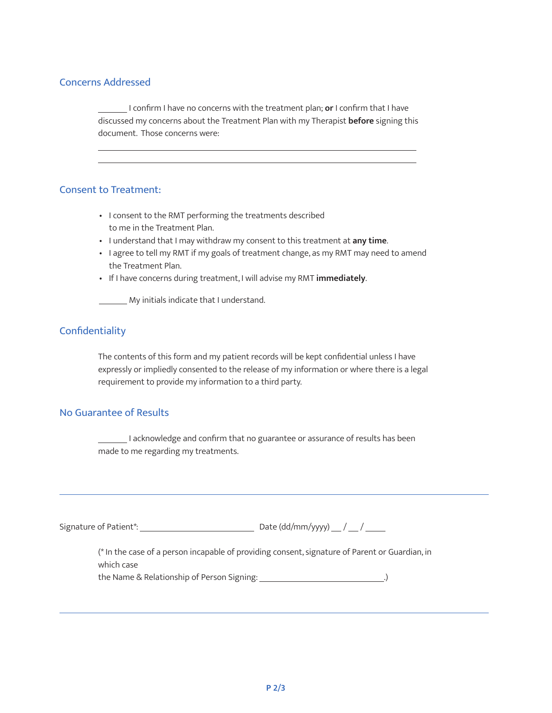# Concerns Addressed

 $\overline{a}$ 

 I confirm I have no concerns with the treatment plan; **or** I confirm that I have discussed my concerns about the Treatment Plan with my Therapist **before** signing this document. Those concerns were:

#### Consent to Treatment:

- I consent to the RMT performing the treatments described to me in the Treatment Plan.
- I understand that I may withdraw my consent to this treatment at **any time**.
- I agree to tell my RMT if my goals of treatment change, as my RMT may need to amend the Treatment Plan.
- If I have concerns during treatment, I will advise my RMT **immediately**.

**My initials indicate that I understand.** 

# **Confidentiality**

The contents of this form and my patient records will be kept confidential unless I have expressly or impliedly consented to the release of my information or where there is a legal requirement to provide my information to a third party.

# No Guarantee of Results

I acknowledge and confirm that no guarantee or assurance of results has been made to me regarding my treatments.

| Signature of Patient*: | Date (dd/mm/yyyy) __ / __ / ____ |
|------------------------|----------------------------------|
|------------------------|----------------------------------|

(\* In the case of a person incapable of providing consent, signature of Parent or Guardian, in which case the Name & Relationship of Person Signing: .)